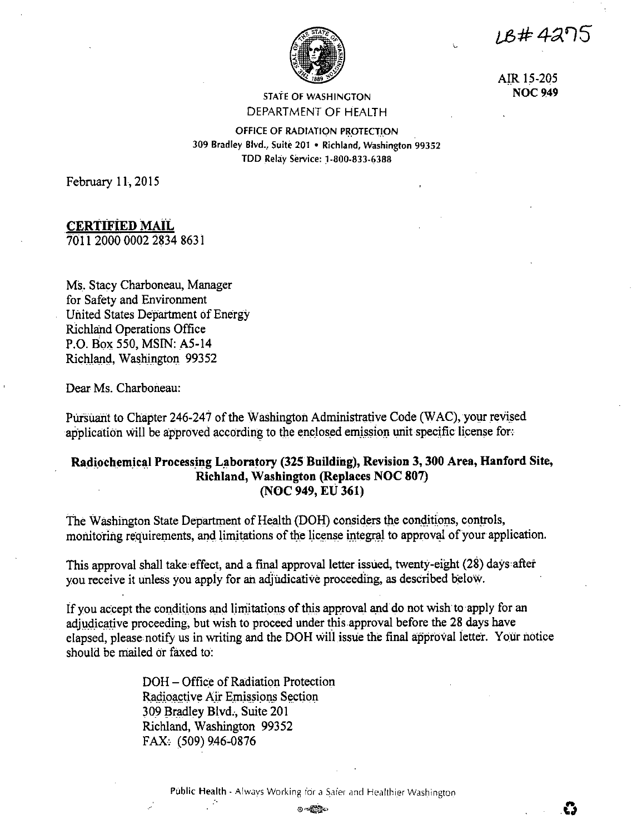*IB#42*75

έś



AIR 15-205 **NOC 949** 

**STATE OF WASHINGTON** DEPARTMENT OF HEALTH

OFFICE OF RADIATION PROTECTION 309 Bradley Blvd., Suite 201 . Richland, Washington 99352 TDD Relay Service: 1-800-833-6388

February 11, 2015

# **CERTIFIED MAIL**

7011 2000 0002 2834 8631

Ms. Stacy Charboneau, Manager for Safety and Environment United States Department of Energy **Richland Operations Office** P.O. Box 550, MSIN: A5-14 Richland, Washington 99352

Dear Ms. Charboneau:

Pursuant to Chapter 246-247 of the Washington Administrative Code (WAC), your revised application will be approved according to the enclosed emission unit specific license for:

# Radiochemical Processing Laboratory (325 Building), Revision 3, 300 Area, Hanford Site, Richland, Washington (Replaces NOC 807) (NOC 949, EU 361)

The Washington State Department of Health (DOH) considers the conditions, controls, monitoring requirements, and limitations of the license integral to approval of your application.

This approval shall take effect, and a final approval letter issued, twenty-eight (28) days after you receive it unless you apply for an adjudicative proceeding, as described below.

If you accept the conditions and limitations of this approval and do not wish to apply for an adjudicative proceeding, but wish to proceed under this approval before the 28 days have elapsed, please notify us in writing and the DOH will issue the final approval letter. Your notice should be mailed or faxed to:

> DOH – Office of Radiation Protection Radioactive Air Emissions Section 309 Bradley Blvd., Suite 201 Richland, Washington 99352 FAX: (509) 9.46-0876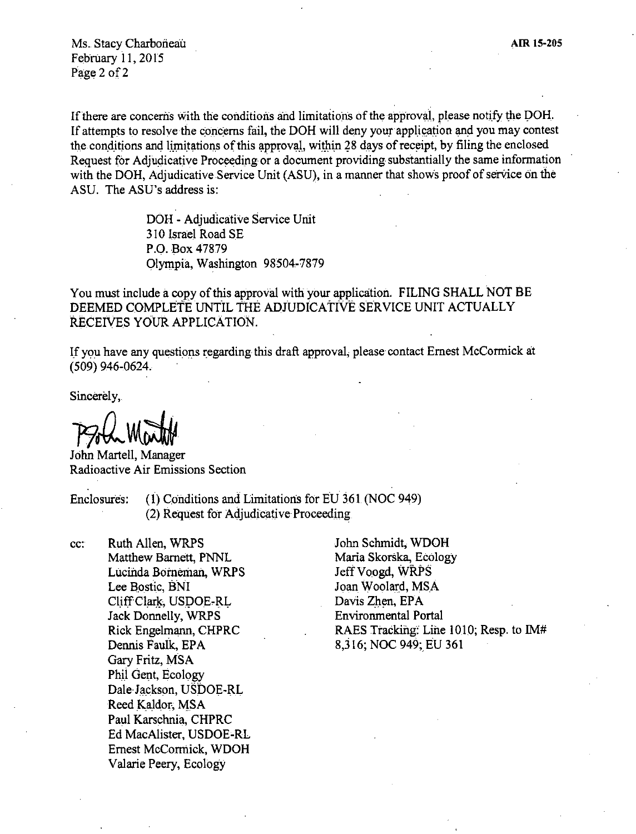Ms. Stacy Charboneau February 11, 2015 Page 2 of 2

If there are concerns with the conditions and limitations of the approval, please notify the DOH. If attempts to resolve the concerns fail, the DOH will deny your application and you may contest the conditions and limitations of this approval, within 28 days of receipt, by filing the enclosed Request for Adjudicative Proceeding or a document providing substantially the same information with the DOH, Adjudicative Service Unit (ASU), in a manner that shows proof of service on the ASU. The ASU's address is:

> DOH - Adjudicative Service Unit 310 Israel Road SE P.O. Box 47879 Olympia. Washington 98504-7879

You must include a copy of this approval with your application. FILING SHALL NOT BE DEEMED COMPLETE UNTiL THE ADJUDICATIVE SERVICE UNIT ACTUALLY RECEIVES YOUR APPLICATION.

If you have any questions regarding this draft approval, please contact Ernest McCormick at ( 509) 946,0624.

Sincerely,

PSold Marth

John Martell, Manager Radioactive Air Emissions Section

Enclosures: (1) Conditions and Limitations for EU 361 (NOC 949) (2) Request for Adjudicative Proceeding

cc: Ruth AHen, WRPS Matthew Barnett, PNNL Lucinda Borneman, WRPS Lee Bostic, BNI Cliff Clark, USDOE-RL Jack Donnelly, WRPS Rick Engelmann, CHPRC Dennis Faulk, EPA Gary Fritz, MSA Phii Gent, Ecology Dale Jackson, USDOE-RL Reed Kaldor, MSA Paul Karschnia, CHPRC Ed MacAlister, USDOE-RL Ernest McCorniick, WDOH Valarie Peery, Ecology

John Schmidt; WDOH Maria Skorska, Ecology Jeff Voogd, WRPS Joan Woolard, MSA Davis Zhen, EPA Environmental Portal RAES Tracking: Line 1010; Resp. to IM# 8,316; NOC 949; EU 361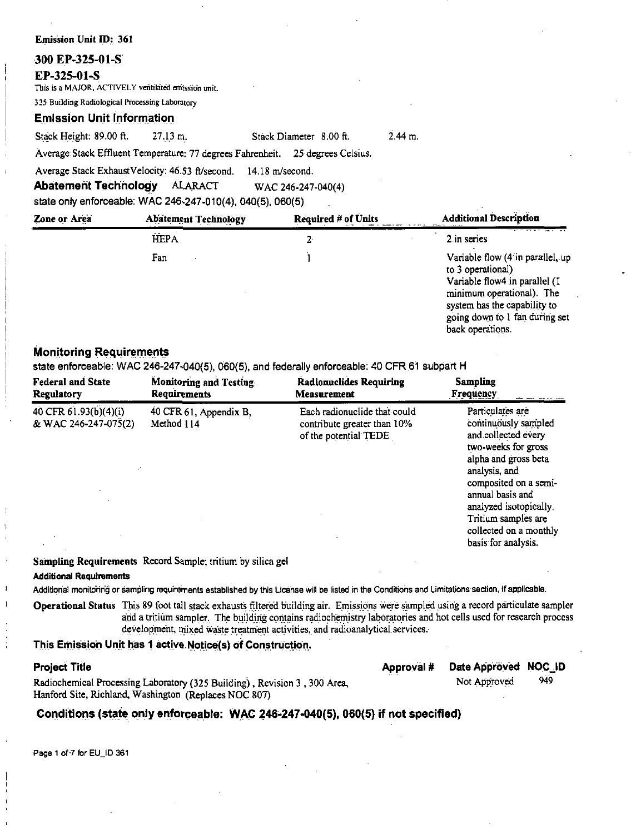## **Emission Unit ID: 361**

## 300 EP-325-01-S

### EP-325-01-S

This is a MAJOR, ACTIVELY ventilated emission unit.

325 Building Radiological Processing Laboratory

## **Emission Unit Information**

Stack Height: 89.00 ft. 27.13 m.  $2.44$  m

Average Stack Effluent Temperature: 77 degrees Fahrenheit. 25 degrees Celsius.

Average Stack Exhaust Velocity: 46.53 ft/second.  $14.18$  m/second.

**Abatement Technology ALARACT**  WAC 246-247-040(4)

Stack Diameter 8.00 ft.

state only enforceable: WAC 246-247-010(4), 040(5), 060(5)

| Zone or Area | <b>Abatement Technology</b> | <b>Required # of Units</b> | <b>Additional Description</b>                                                                                                                                                                             |
|--------------|-----------------------------|----------------------------|-----------------------------------------------------------------------------------------------------------------------------------------------------------------------------------------------------------|
|              | <b>HEPA</b>                 | 2                          | 2 in series                                                                                                                                                                                               |
|              | Fan                         |                            | Variable flow (4 in parallel, up<br>to 3 operational)<br>Variable flow4 in parallel (I<br>minimum operational). The<br>system has the capability to<br>going down to 1 fan during set<br>back operations. |

# **Monitoring Requirements**

state enforceable: WAC 246-247-040(5), 060(5), and federally enforceable: 40 CFR 61 subpart H

| <b>Federal and State</b>                      | <b>Monitoring and Testing.</b>       | <b>Radionuclides Requiring</b>                                                       | <b>Sampling</b>                                                                                                                                                                                                                                                                |
|-----------------------------------------------|--------------------------------------|--------------------------------------------------------------------------------------|--------------------------------------------------------------------------------------------------------------------------------------------------------------------------------------------------------------------------------------------------------------------------------|
| <b>Regulatory</b>                             | <b>Requirements</b>                  | <b>Measurement</b>                                                                   | <b>Frequency</b>                                                                                                                                                                                                                                                               |
| 40 CFR 61.93(b)(4)(i)<br>& WAC 246-247-075(2) | 40 CFR 61, Appendix B,<br>Method 114 | Each radionuclide that could<br>contribute greater than 10%<br>of the potential TEDE | Particulates are<br>continuously sampled<br>and collected every<br>two-weeks for gross<br>alpha and gross beta<br>analysis, and<br>composited on a semi-<br>annual basis and<br>analyzed isotopically.<br>Tritium samples are<br>collected on a monthly<br>basis for analysis. |

**Sampling Requirements** Record Sample; tritium by silica gel

### **Additional Requirements**

Additional monitoring or sampling requirements established by this License will be listed in the Conditions and Limitations section, if applicable.

Operational Status This 89 foot tall stack exhausts filtered building air. Emissions were sampled using a record particulate sampler and a tritium sampler. The building contains radiochemistry laboratories and hot cells used for research process development, mixed waste treatment activities, and radioanalytical services.

## This Emission Unit has 1 active Notice(s) of Construction.

### **Project Title**

 $\mathbf{I}$ 

Approval # Date Appröved NOC ID 949

Radiochemical Processing Laboratory (325 Building), Revision 3, 300 Area, Hanford Site, Richland, Washington (Replaces NOC 807)

Not Approved

# Conditions (state only enforceable: WAC 246-247-040(5), 060(5) if not specified)

Page 1 of 7 for EU\_ID 361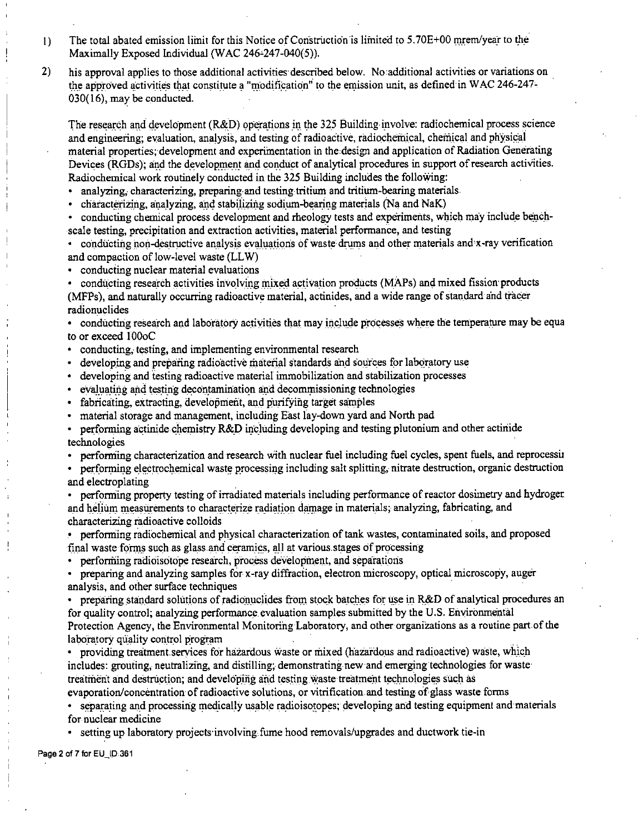- The total abated emission limit for this Notice of Construction is limited to 5.70E+00 mrem/year to the  $\overline{1}$ Maximally Exposed Individual (WAC 246-247-040(5)).
- $2)$ his approval applies to those additional activities described below. No additional activities or variations on the approved activities that constitute a "modification" to the emission unit, as defined in WAC 246-247- $030(16)$ , may be conducted.

The research and development (R&D) operations in the 325 Building involve: radiochemical process science and engineering; evaluation, analysis, and testing of radioactive, radiochemical, chemical and physical material properties; development and experimentation in the design and application of Radiation Generating Devices (RGDs); and the development and conduct of analytical procedures in support of research activities. Radiochemical work routinely conducted in the 325 Building includes the following:

· analyzing, characterizing, preparing and testing tritium and tritium-bearing materials.

• characterizing, analyzing, and stabilizing sodium-bearing materials (Na and NaK)

conducting chemical process development and rheology tests and experiments, which may include benchscale testing, precipitation and extraction activities, material performance, and testing

conducting non-destructive analysis evaluations of waste drums and other materials and x-ray verification and compaction of low-level waste (LLW)

• conducting nuclear material evaluations

• conducting research activities involving mixed activation products (MAPs) and mixed fission products (MFPs), and naturally occurring radioactive material, actinides, and a wide range of standard and tracer radionuclides

• conducting research and laboratory activities that may include processes where the temperature may be equa to or exceed 100oC

- conducting, testing, and implementing environmental research
- developing and preparing radioactive material standards and sources for laboratory use
- developing and testing radioactive material immobilization and stabilization processes
- evaluating and testing decontamination and decommissioning technologies
- fabricating, extracting, development, and purifying target samples
- material storage and management, including East lay-down yard and North pad
- performing actinide chemistry R&D including developing and testing plutonium and other actinide  $\bullet$ technologies
- performing characterization and research with nuclear fuel including fuel cycles, spent fuels, and reprocessin

performing electrochemical waste processing including salt splitting, nitrate destruction, organic destruction and electroplating

performing property testing of irradiated materials including performance of reactor dosimetry and hydroger. and helium measurements to characterize radiation damage in materials; analyzing, fabricating, and characterizing radioactive colloids

• performing radiochemical and physical characterization of tank wastes, contaminated soils, and proposed final waste forms such as glass and ceramics, all at various stages of processing

• performing radioisotope research, process development, and separations

preparing and analyzing samples for x-ray diffraction, electron microscopy, optical microscopy, auger  $\bullet$ analysis, and other surface techniques

preparing standard solutions of radionuclides from stock batches for use in R&D of analytical procedures an for quality control; analyzing performance evaluation samples submitted by the U.S. Environmental Protection Agency, the Environmental Monitoring Laboratory, and other organizations as a routine part of the laboratory quality control program

• providing treatment services for hazardous waste or mixed (hazardous and radioactive) waste, which includes: grouting, neutralizing, and distilling; demonstrating new and emerging technologies for waste treatment and destruction; and developing and testing waste treatment technologies such as evaporation/concentration of radioactive solutions, or vitrification and testing of glass waste forms

separating and processing medically usable radioisotopes; developing and testing equipment and materials for nuclear medicine

setting up laboratory projects involving fume hood removals/upgrades and ductwork tie-in

Page 2 of 7 for EU\_ID:361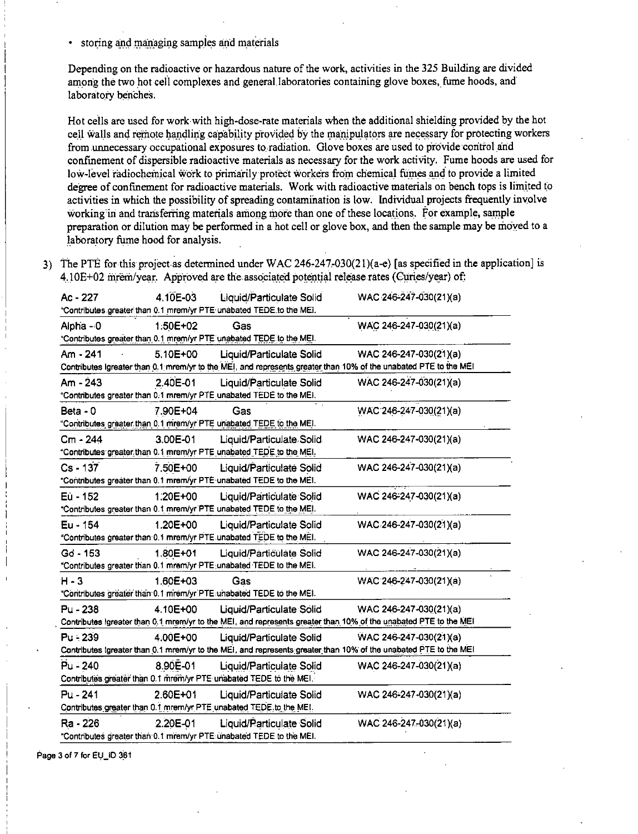• storing and managing samples and materials

Depending on the radioactive or hazardous nature of the work, activities in the 325 Building are divided among the two hot cell complexes and general laboratories containing glove boxes, fume hoods, and laboratory benches.

Hot cells are used for work with high-dose-rate materials when the additional shielding provided by the hot cell walls and remote handling capability provided by the manipulators are necessary for protecting workers from unnecessary occupational exposures to radiation. Glove boxes are used to provide control and confinement of dispersible radioactive materials as necessary for the work activity. Fume hoods are used for low-level radiochemical work to primarily protect workers from chemical fumes and to provide a limited degree of confinement for radioactive materials. Work with radioactive materials on bench tops is limited to activities in which the possibility of spreading contamination is low. Individual projects frequently involve working in and transferring materials among more than one of these locations. For example, sample preparation or dilution may be performed in a hot cell or glove box, and then the sample may be moved to a laboratory fume hood for analysis.

3) The PTE for this project as determined under WAC 246-247-030(21)( $a-e$ ) [as specified in the application] is 4.10E+02 mrem/year. Approved are the associated potential release rates (Curies/year) of:

| Ac - 227   | 4.10E-03     | Liquid/Particulate Solid                                            | WAC-246-247-030(21)(a)                                                                                           |
|------------|--------------|---------------------------------------------------------------------|------------------------------------------------------------------------------------------------------------------|
|            |              | "Contributes greater than 0.1 mrem/yr PTE unabated TEDE to the MEI. |                                                                                                                  |
| Alpha - 0  | 1:50E+02     | Gas                                                                 | WAC 246-247-030(21)(a)                                                                                           |
|            |              | "Contributes greater than 0.1 mrem/yr PTE unabated TEDE to the MEI. |                                                                                                                  |
| Am - 241   | 5.10E+00     | Liquid/Particulate Solid                                            | WAC 246-247-030(21)(a)                                                                                           |
|            |              |                                                                     | Contributes Igreater than 0.1 mrem/yr to the MEI, and represents greater than 10% of the unabated PTE to the MEI |
| Am - 243   | 2.40E-01     | Liquid/Particulate Solid                                            | WAC 246-247-030(21)(a)                                                                                           |
|            |              | "Contributes greater than 0.1 mrem/yr PTE unabated TEDE to the MEI. |                                                                                                                  |
| Beta - $0$ | 7.90E+04     | Gas                                                                 | WAC:246-247-030(21)(a)                                                                                           |
|            |              | "Contributes greater than 0.1 mrem/yr PTE unabated TEDE to the MEI. |                                                                                                                  |
| Cm - 244   | 3.00E-01     | Liquid/Particulate Solid.                                           | WAC 246-247-030(21)(a)                                                                                           |
|            |              | "Contributes greater than 0.1 mrem/yr PTE unabated TEDE to the MEI. |                                                                                                                  |
| $Cs - 137$ | 7.50E+00     | Liquid/Particulate Solid                                            | WAC 246-247-030(21)(a)                                                                                           |
|            |              | "Contributes greater than 0.1 mrem/yr PTE-unabated TEDE to the MEI. |                                                                                                                  |
| Eu - 152   | $1.20E + 00$ | Liquid/Particulate Solid                                            | WAC 246-247-030(21)(a)                                                                                           |
|            |              | "Contributes greater than 0.1 mrem/yr PTE unabated TEDE to the MEI. |                                                                                                                  |
| Eu - 154   | 1.20E+00     | <b>Liquid/Particulate Solid</b>                                     | WAC-246-247-030(21)(a)                                                                                           |
|            |              | "Contributes greater than 0.1 mrem/yr PTE unabated TEDE to the MEI. |                                                                                                                  |
| $Gd - 153$ | 1.80E+01     | Liquid/Particulate Solid                                            | WAC 246-247-030(21)(a)                                                                                           |
|            |              |                                                                     |                                                                                                                  |
|            |              | "Contributes greater than 0.1 mrem/yr PTE unabated TEDE to the MEI. |                                                                                                                  |
| $H - 3$    | $1.60E + 03$ | Gas                                                                 | WAC 246-247-030(21)(a)                                                                                           |
|            |              | "Contributes greater than 0.1 mrem/yr PTE unabated TEDE to the MEI. |                                                                                                                  |
| Pu - 238   | 4.10E+00     | Liquid/Particulate Solid                                            | WAC 246-247-030(21)(a)                                                                                           |
|            |              |                                                                     | Contributes Igreater than 0.1 mrem/yr to the MEI, and represents greater than 10% of the unabated PTE to the MEI |
| Pu - 239   | 4.00E+00     | Liquid/Particulate Solid                                            | WAC 246-247-030(21)(a)                                                                                           |
|            |              |                                                                     | Contributes Igreater than 0.1 mrem/yr to the MEI, and represents greater than 10% of the unabated PTE to the MEI |
| Pu - 240   | 8.90E-01     | Liquid/Particulate Solid                                            | WAC 246-247-030(21)(a)                                                                                           |
|            |              | Contributes greater than 0.1 mrem/yr PTE unabated TEDE to the MEI.  |                                                                                                                  |
| $Pu - 241$ | 2.60E+01     | Liquid/Particulate Solid                                            | WAC 246-247-030(21)(a)                                                                                           |
|            |              | Contributes greater than 0.1 mrem/yr PTE unabated TEDE to the MEI.  |                                                                                                                  |
| Ra - 226   | 2.20E-01     | Liquid/Particulate Solid                                            | WAC 246-247-030(21)(a)                                                                                           |

Page 3 of 7 for EU\_ID 361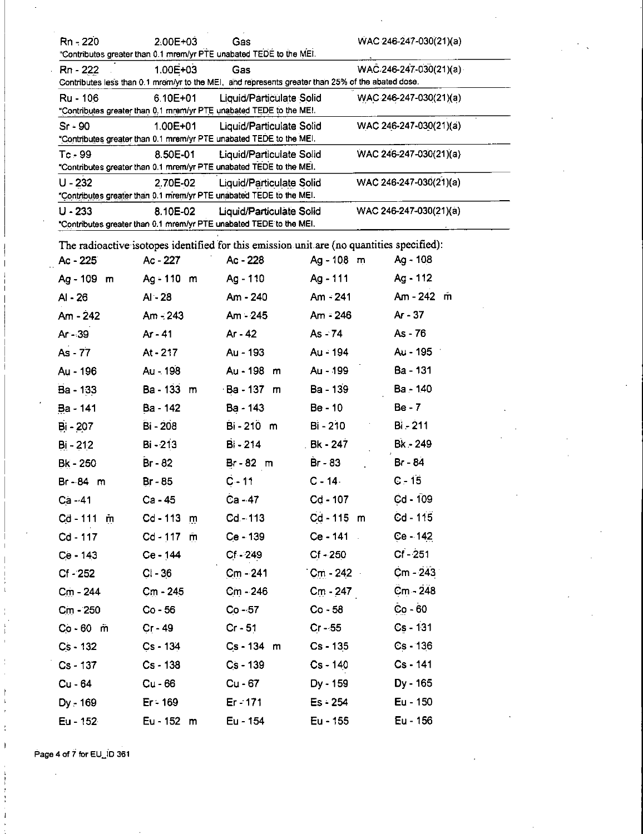| Rn - 220    | 2.00E+03     | Gas<br>"Contributes greater than 0.1 mrem/yr PTE unabated TEDE to the MEI.                               |                   | $WAC$ 246-247-030(21)(a) |  |
|-------------|--------------|----------------------------------------------------------------------------------------------------------|-------------------|--------------------------|--|
| Rn - 222    | 1.00E+03     | Gas<br>Contributes less than 0.1 mrem/yr to the MEI, and represents greater than 25% of the abated dose. |                   | $WAC.246-247-030(21)(a)$ |  |
| Ru - 106    | $6.10E + 01$ | Liquid/Particulate Solid<br>"Contributes greater than 0.1 mrem/yr PTE unabated TEDE to the MEI.          |                   | WAC 246-247-030(21)(a)   |  |
| $Sr - 90$   | $1.00E + 01$ | Liquid/Particulate Solid<br>"Contributes greater than 0.1 mrem/yr PTE unabated TEDE to the MEI.          |                   | WAC 246-247-030(21)(a)   |  |
| $Tc - 99$   | 8.50E-01     | Liquid/Particulate Solid<br>"Contributes greater than 0.1 mrem/yr PTE unabated TEDE to the MEI.          |                   | $WAC$ 246-247-030(21)(a) |  |
| $U - 232$   | 2.70E-02     | Liquid/Particulate Solid<br>"Contributes greater than 0.1 mrem/yr PTE unabated TEDE to the MEI.          |                   | WAC 246-247-030(21)(a)   |  |
| $U - 233$   | 8.10E-02     | Liquid/Particulate Solid<br>"Contributes greater than 0.1 mrem/yr PTE unabated TEDE to the MEI.          |                   | WAC 246-247-030(21)(a)   |  |
|             |              | The radioactive isotopes identified for this emission unit are (no quantities specified):                |                   |                          |  |
| Ac - 225    | Ac - 227     | Ac - 228                                                                                                 | Ag - 108 m        | Ag - 108                 |  |
| Ag - 109 m  | Ag - 110 m   | Ag - 110                                                                                                 | Ag - 111          | Ag - 112                 |  |
| $AI - 26$   | $AI - 28$    | Am - 240                                                                                                 | $Am - 241$        | Am - 242 m               |  |
| $Am - 242$  | $Am - 243$   | Am - 245                                                                                                 | Am - 246          | $Ar - 37$                |  |
| Ar - 39     | Ar - 41      | Ar - 42                                                                                                  | As - 74           | As - 76                  |  |
| As - 77     | At - 217     | Au - 193                                                                                                 | Au - 194          | Au - 195                 |  |
| Au - 196    | Au - 198     | Au - 198 m                                                                                               | Au - 199          | Ba - 131                 |  |
| Ba - 133    | Ba - 133 m   | Ba - 137 m                                                                                               | Ba - 139          | Ba - 140                 |  |
| Ba - 141    | Ba - 142     | Ba - 143                                                                                                 | Be - 10           | $Be - 7$                 |  |
| Bi - 207    | Bi - 208     | Bi-210 m                                                                                                 | $Bi - 210$        | Bi - 211                 |  |
| $Bi - 212$  | $Bi - 213$   | Bi - 214                                                                                                 | . Bk - 247        | Bk - 249                 |  |
| Bk - 250    | Br - 82      | Br-82 m                                                                                                  | Br - 83           | Br - 84                  |  |
| Br-84 m     | Br - 85      | $C - 11$                                                                                                 | $C - 14$          | $C - 15$                 |  |
| Ca - 41     | Ca - 45      | Ca - 47                                                                                                  | Cd - 107          | $Cd - 109$               |  |
| Cd-111 m    | $Cd - 113$ m | Cd - 113                                                                                                 | $Cd - 115$ m      | Cd - 115                 |  |
| Cd - 117    | $Cd - 117$ m | $Ce - 139$                                                                                               | $Ce - 141$        | Ce - 142                 |  |
| $Ce - 143$  | Ce - 144     | $Cf - 249$                                                                                               | $Cf - 250$        | $Cf - 251$               |  |
| $Cf - 252$  | $Cl - 36$    | $Cm - 241$                                                                                               | $Cm - 242$        | $Cm - 243$               |  |
| Cm - 244    | $Cm - 245$   | Cm - 246                                                                                                 | $C_{\rm m}$ - 247 | Cm - 248                 |  |
| $Cm - 250$  | $Co - 56$    | $Co - 57$                                                                                                | $Co - 58$         | $Co - 60$                |  |
| $Co - 60$ m | $Cr - 49$    | $Cr - 51$                                                                                                | $Cr - 55$         | Cs - 131                 |  |
| $Cs - 132$  | $Cs - 134$   | $Cs - 134$ m                                                                                             | Cs - 135          | $Cs - 136$               |  |
| Cs - 137    | $Cs - 138$   | $Cs - 139$                                                                                               | $Cs - 140$        | $Cs - 141$               |  |
| Cu - 64     | $Cu - 66$    | $Cu - 67$                                                                                                | Dy - 159          | Dy - 165                 |  |
| Dy - 169    | $Er - 169$   | Er - 171                                                                                                 | $Es - 254$        | Eu - 150                 |  |
| Eu - 152    | Eu - 152 m   | Eu - 154                                                                                                 | Eu - 155          | Eu - 156                 |  |

Page 4 of 7 for EU\_ID 361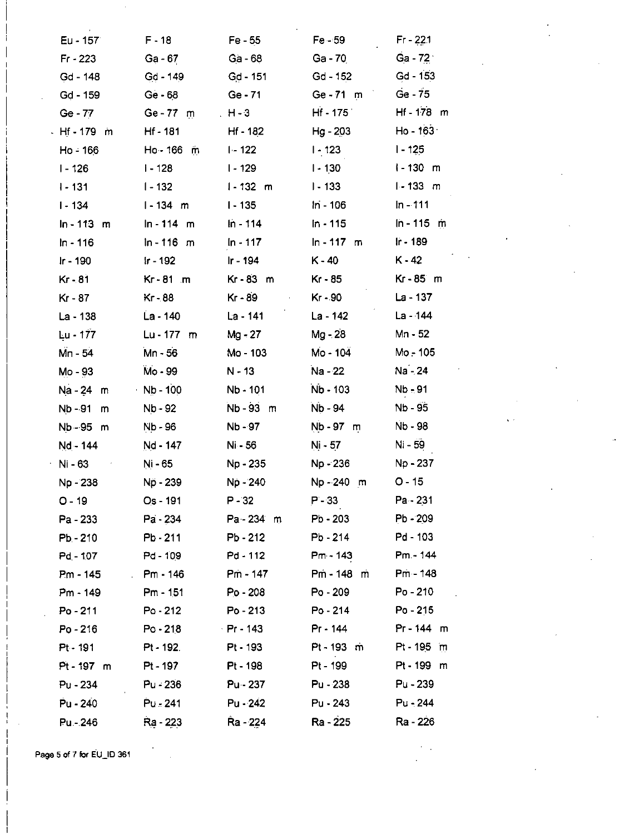| $Eu - 157$         | $F - 18$        | $Fe - 55$       | $Fe-59$      | Fr - 221       |
|--------------------|-----------------|-----------------|--------------|----------------|
| $Fr - 223$         | $Ga - 67$       | Ga - 68         | Ga - 70      | $Ga - 72$      |
| Gd - 148           | $Gd - 149$      | $Gd - 151$      | $Gd - 152$   | Gd - 153       |
| Gd - 159           | Ge - 68         | $Ge - 71$       | Ge-71 m      | $Ge - 75$      |
| Ge - 77            | $Ge - 77$ m     | $H - 3$         | $Hf - 175$   | Hf-178 m       |
| - Hf - 179 m       | Hf - 181        | Hf - 182        | Hg - 203     | Ho - 163       |
| Ho - 166           | Ho - 166 m      | $1 - 122$       | $1 - 123$    | $1 - 125$      |
| $1 - 126$          | $1 - 128$       | $1 - 129$       | $1 - 130$    | $1 - 130$<br>m |
| $1 - 131$          | l - 132         | $1 - 132$ m     | $1 - 133$    | $1 - 133$ m    |
| $1 - 134$          | l-134 m         | $1 - 135$       | In - 106     | $ln - 111$     |
| $ln - 113 \cdot m$ | $ln - 114$ m    | $ln - 114$      | In - 115     | $\ln - 115$ m  |
| $ln - 116$         | $ln - 116$ m    | $In - 117$      | $ln - 117$ m | Ir - 189       |
| Ir - 190           | $Ir - 192$      | Ir - 194        | $K - 40$     | $K - 42$       |
| Kr - 81            | Kr-81 m         | $Kr - 83$ m     | Kr - 85      | Kr-85 m        |
| Kr - 87            | $Kr - 88$       | Kr - 89         | Kr - 90      | La - 137       |
| La - 138           | La - 140        | La - 141        | La - 142     | La - 144       |
| Lu - 177           | $Lu - 177$ m    | Mg - 27         | Mg - 28      | Mn - 52        |
| Mn - 54            | Mn - 56         | Mo - 103        | Mo - 104     | Mo - 105       |
| Mo - 93            | Mo - 99         | $N - 13$        | Na - 22      | Na - 24        |
| Na - 24<br>m       | $Nb - 100$      | Nb - 101        | Nb - 103     | Nb - 91        |
| Nb - 91<br>m       | Nb - 92         | Nb-93 m         | Nb - 94      | Nb - 95        |
| Nb 95 m            | Nb - 96         | Nb - 97         | Nb - 97 m    | Nb - 98        |
| Nd - 144           | <u>Nd - 147</u> | Ni 56           | Ni - 57      | Ni - 59        |
| Ni - 63            | Ni - 65         | Np - 235        | Np - 236     | Np - 237       |
| Np - 238           | Np - 239        | Np - 240        | Np-240 m     | $O - 15$       |
| O - 19             | $Os - 191$      | P - 32          | $P - 33$     | Pa - 231       |
| Pa - 233           | Pa - 234        | $Pa - 234$ m    | Pb - 203     | $Pb - 209$     |
| $Pb - 210$         | Pb - 211        | $Pb - 212$      | Pb - 214     | Pd - 103       |
| <b>Pd - 107</b>    | Pd - 109        | Pd - 112        | Pm - 143     | Pm - 144       |
| Pm - 145           | Pm - 146        | Pm - 147        | Pm - 148 m   | <b>Pm-148</b>  |
| $Pm - 149$         | $Pm - 151$      | Po - 208        | $Po - 209$   | Po - 210       |
| Po - 211           | Po - 212        | $Po - 213$      | Po - 214     | $Po - 215$     |
| Po - 216           | Po - 218        | Pr - 143        | Pr - 144     | Pr-144 m       |
| $Pt - 191$         | Pt - 192.       | Pt - 193        | Pt-193 m     | Pt - 195 m     |
| $Pt - 197$ m       | Pt - 197        | Pt - 198        | Pt - 199     | Pt-199 m       |
| $Pu - 234$         | Pu - 236        | <b>Pu - 237</b> | Pu - 238     | $Pu - 239$     |
| Pu - 240           | Pu - 241        | Pu - 242        | Pu - 243     | Pu - 244       |
| Pu - 246           | Ra - 223        | Ra - 224        | Ra - 225     | Ra - 226       |

Page 5 of 7 for EU\_ID 361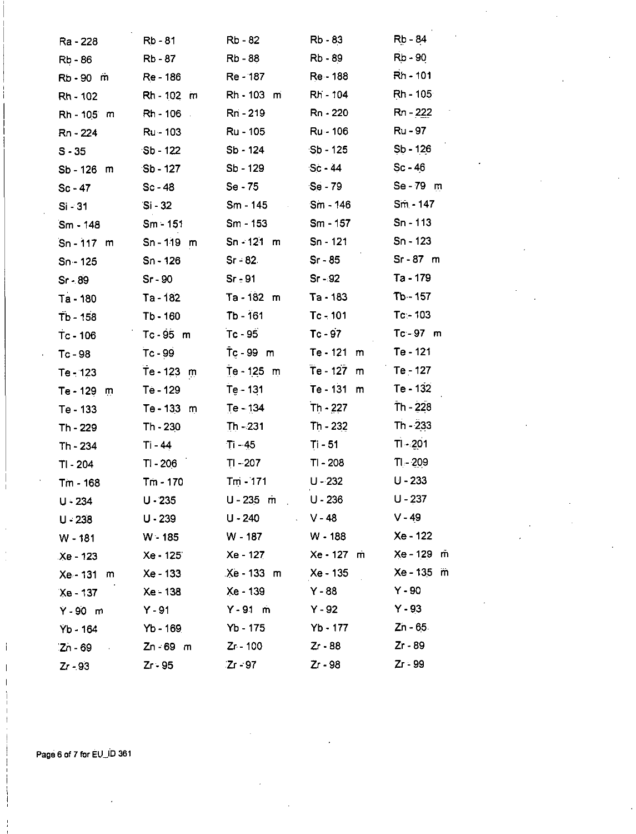| Ra - 228        | <b>Rb-81</b>          | Rb - 82            | Rb - 83                  | Rb - 84         |
|-----------------|-----------------------|--------------------|--------------------------|-----------------|
| <b>Rb-86</b>    | Rb - 87               | Rb - 88            | Rb - 89                  | $Rb - 90$       |
| Rb-90 m         | Re - 186              | Re - 187           | Re - 188                 | Rh - 101        |
| Rh - 102        | Rh - 102 m            | Rh - 103 m         | Rh - 104                 | $Rh - 105$      |
| Rh - 105 m      | Rh - 106<br>$\sim 10$ | Rri - 219          | Rn - 220                 | Rn - 222        |
| Rn - 224        | Ru - 103              | Ru - 105           | Ru - 106                 | Ru - 97         |
| $S - 35$        | $Sb - 122$            | Sb - 124           | $Sb - 125$               | $Sb - 126$      |
| Sb - 126 m      | $Sb - 127$            | Sb - 129           | $Sc - 44$                | $Sc - 46$       |
| $Sc - 47$       | $Sc - 48$             | $Se - 75$          | Se - 79                  | Se - 79 m       |
| $Si - 31$       | $Si - 32$             | Sm - 145           | Sm - 146                 | $Sm - 147$      |
| Sm - 148        | $Sm - 151$            | Sm - 153           | Sm - 157                 | $Sn - 113$      |
| $Sn - 117$ m    | $Sn - 119$ m          | $Sn - 121$ m       | Sn - 121                 | $Sn - 123$      |
| $Sn - 125$      | Sn - 126              | $Sr - 82$          | $Sr - 85$                | $Sr-87$ m       |
| $Sr - 89$       | $Sr-90$               | Sr <sub>z</sub> 91 | $Sr - 92$                | Ta - 179        |
| Ta - 180        | Ta - 182              | Ta-182 m           | Ta - 183                 | Tb - 157        |
| Tb - 158        | Tb - 160              | Tb - 161           | $Tc - 101$               | Tc⊱ 103         |
| Tc-106          | $Tc - 95$ m           | $Tc - 95$          | $Tc - 97$                | $Tc - 97$ m     |
| Tc-98           | $Tc - 99$             | $Tc - 99$ m        | Te - 121<br>m            | Te - 121        |
| Te - 123        | $Te - 123$<br>m       | Te - 125 m         | Te - 127<br>$\mathsf{m}$ | Te - 127        |
| $Te - 129$<br>m | Te - 129              | Te - 131           | Te - 131<br>m            | Te - 132        |
| Te - 133        | Te - 133<br>m         | Te - 134           | $Th - 227$               | $Th - 228$      |
| Th - 229        | Th - 230              | $Th - 231$         | $Th - 232$               | $Th - 233$      |
| Th - 234        | Ti - 44               | $Ti - 45$          | Ti - 51                  | $T1 - 201$      |
| TI - 204        | TI - 206              | $T1 - 207$         | TI - 208                 | $T$ - 209       |
| Tm - 168        | Tm - 170              | $T_{\rm m}$ - 171  | $U - 232$                | $U - 233$       |
| $U - 234$       | $U - 235$             | $U - 235$ m        | $U - 236$                | $U - 237$       |
| $U - 238$       | $U - 239$             | U - 240            | $\sim$ V - 48            | $V - 49$        |
| $W - 181$       | $W - 185$             | W - 187            | W - 188                  | Xe - 122        |
| Xe - 123        | Xe - 125              | Xe - 127           | Xe - 127 m               | Xe - 129 m      |
| Xe - 131<br>m   | Xe - 133              | $Xe - 133$ m       | Xe - 135                 | $Xe - 135$<br>m |
| Xe - 137        | Xe - 138              | Xe - 139           | $Y - 88$                 | $Y - 90$        |
| $Y - 90$ m      | $Y - 91$              | $Y - 91$ m         | $Y - 92$                 | $Y - 93$        |
| Yb 164          | Yb - 169              | Yb - 175           | Yb - 177                 | $Zn - 65$       |
| $Zn - 69$       | $Zn - 69$ m           | Zr - 100           | $Zr - 88$                | $Zr - 89$       |
| Zr - 93         | $Zr - 95$             | $Zr - 97$          | Zr - 98                  | Zr - 99         |

Page 6 of 7 for EU\_ID 361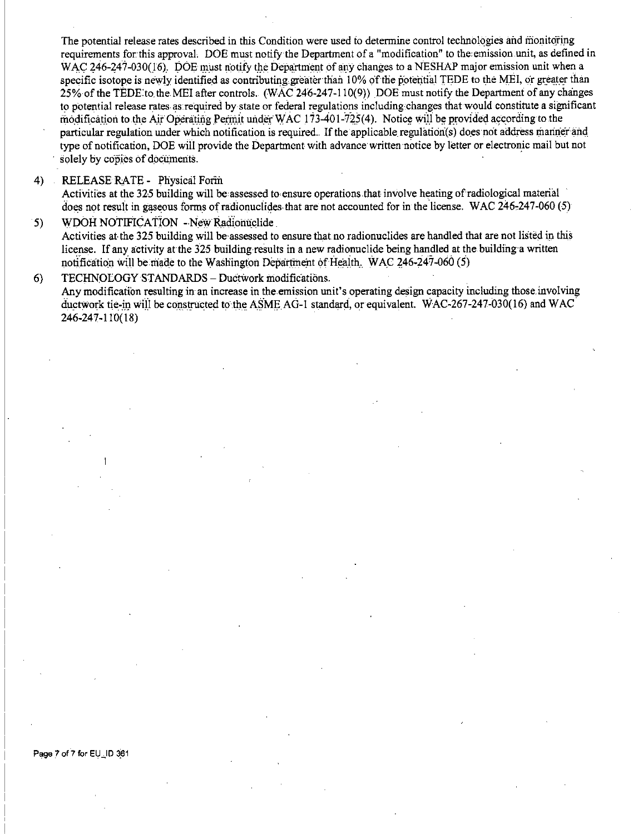The potential release rates described in this Condition were used to determine control technologies and monitoring requirements for this approval. DOE must notify the Department of a "modification" to the emission unit, as defined in WAC 246-247-030(16). DOE must notify the Department of any changes to a NESHAP major emission unit when a specific isotope is newly identified as contributing greater than 10% of the potential TEDE to the MEI, or greater than 25% of the TEDE to the MEI after controls. (WAC 246-247-110(9)) DOE must notify the Department of any changes to potential release rates as required by state or federal regulations including changes that would constitute a significant modification to the Air Operating Permit under WAC 173-401-725(4). Notice will be provided according to the particular regulation under which notification is required. If the applicable regulation(s) does not address manner and type of notification. DOE will provide the Department with advance written notice by letter or electronic mail but not solely by copies of documents.

#### RELEASE RATE - Physical Form 4)

5)

Activities at the 325 building will be assessed to ensure operations that involve heating of radiological material does not result in gaseous forms of radionuclides that are not accounted for in the license. WAC 246-247-060 (5) WDOH NOTIFICATION - New Radionuclide

Activities at the 325 building will be assessed to ensure that no radionuclides are handled that are not listed in this license. If any activity at the 325 building results in a new radionuclide being handled at the building a written notification will be made to the Washington Department of Health. WAC 246-247-060  $(5)$ 

#### $6)$ TECHNOEOGY STANDARDS - Ductwork modifications.

Any modification resulting in an increase in the emission unit's operating design capacity including those involving ductwork tie-in will be constructed to the ASME AG-1 standard, or equivalent. WAC-267-247-030(16) and WAC 246-247-110(18)

### Page 7 of 7 for EU\_ID 361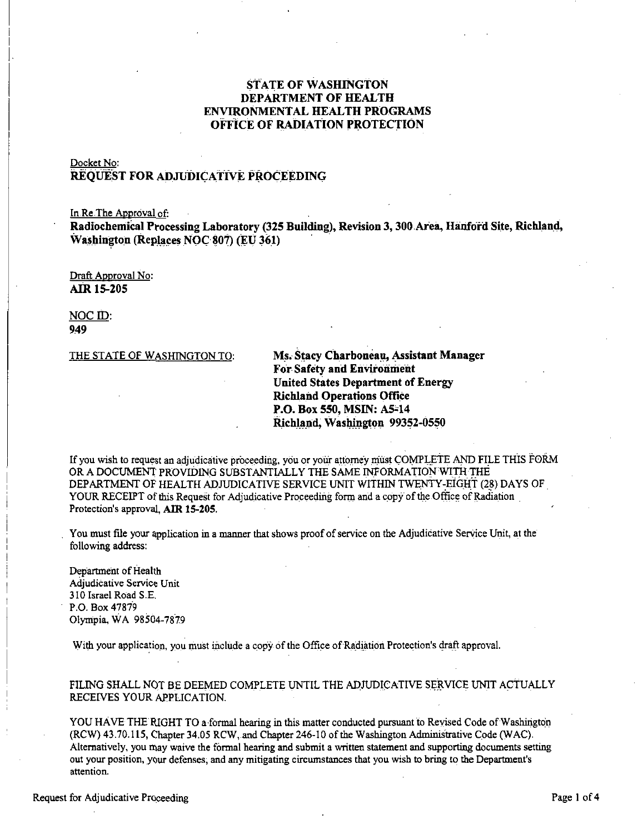# **STATE OF WASHINGTON** DEPARTMENT OF HEALTH **ENVIRONMENTAL HEALTH PROGRAMS** OFFICE OF RADIATION PROTECTION

# Docket No:

# REOUEST FOR ADJUDICATIVE PROCEEDING

In Re The Approval of:

Radiochemical Processing Laboratory (325 Building), Revision 3, 300 Area, Hanford Site, Richland, Washington (Replaces NOC 807) (EU 361)

Draft Approval No: **AIR 15-205** 

NOC ID: 949

THE STATE OF WASHINGTON TO:

Ms. Stacy Charboneau, Assistant Manager For Safety and Environment **United States Department of Energy Richland Operations Office** P.O. Box 550, MSIN: A5-14 Richland. Washington 99352-0550

If you wish to request an adjudicative proceeding, you or your attorney must COMPLETE AND FILE THIS FORM OR A DOCUMENT PROVIDING SUBSTANTIALLY THE SAME INFORMATION WITH THE DEPARTMENT OF HEALTH ADJUDICATIVE SERVICE UNIT WITHIN TWENTY-EIGHT (28) DAYS OF YOUR RECEIPT of this Request for Adjudicative Proceeding form and a copy of the Office of Radiation Protection's approval. AIR 15-205.

You must file your application in a manner that shows proof of service on the Adjudicative Service Unit, at the following address.

Department of Health Adjudicative Service Unit 310 Israel Road S.E. P.O. Box 47879 Olympia, WA 98504-7879

With your application, you must include a copy of the Office of Radiation Protection's draft approval.

## FILING SHALL NOT BE DEEMED COMPLETE UNTIL THE ADJUDICATIVE SERVICE UNIT ACTUALLY RECEIVES YOUR APPLICATION.

YOU HAVE THE RIGHT TO a formal hearing in this matter conducted pursuant to Revised Code of Washington (RCW) 43.70.115, Chapter 34.05 RCW, and Chapter 246-10 of the Washington Administrative Code (WAC). Alternatively, you may waive the formal hearing and submit a written statement and supporting documents setting out your position, your defenses, and any mitigating circumstances that you wish to bring to the Department's attention.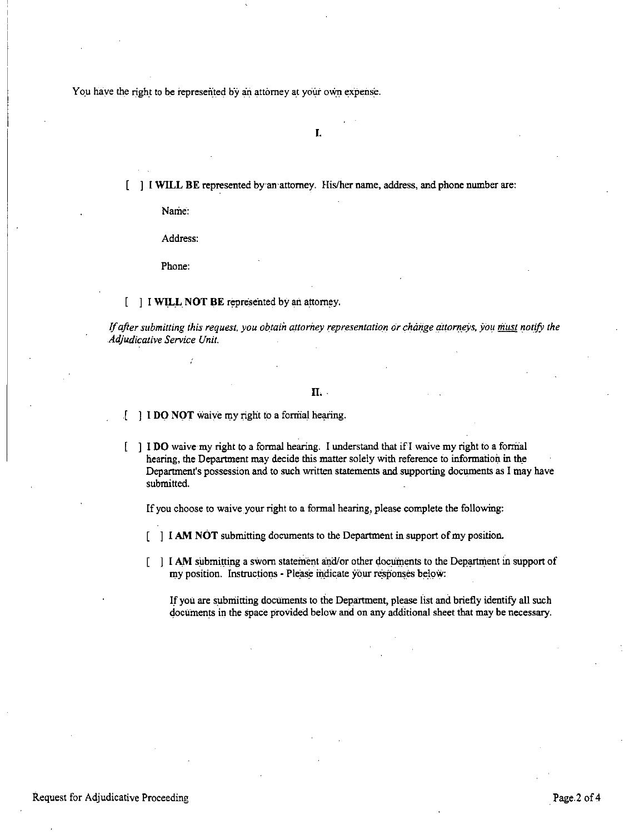You have the right to be represented by an attorney at your own expense.

**I.** 

[ ] I **WILL BE** represented by an·attorney. His/her name, address, and phone number are:

Name:

Address:

Phone:

## [ ] I **WILL NOT BE** represented by an attorney.

*If after submitting this request, you obtain attorney representation or change attorneys, you must notify the Adjudicative Service Unit.* 

## **IL.**

- I **DO NOT** waive my right to a formal hearing.  $\cdot$
- ] I **DO** waive my right to a formal hearing. I understand that if! waive my right to a formal hearing, the Department may decide this matter solely with reference to information in the Department's possession and to such written statements and.supporting documents as I may have submitted.

If you choose to waive your right to a formal hearing, please complete the following:

- **I I AM NOT** submitting documents to the Department in support of my position.
- I **AM** submitting a sworn statement and/or other documents to the Department in support of my position. Instructions - Please indicate your responses below:

If you are submitting documents to the Department, please iist and briefly identify all such documents in the space provided below and on any additional sheet that may be necessary.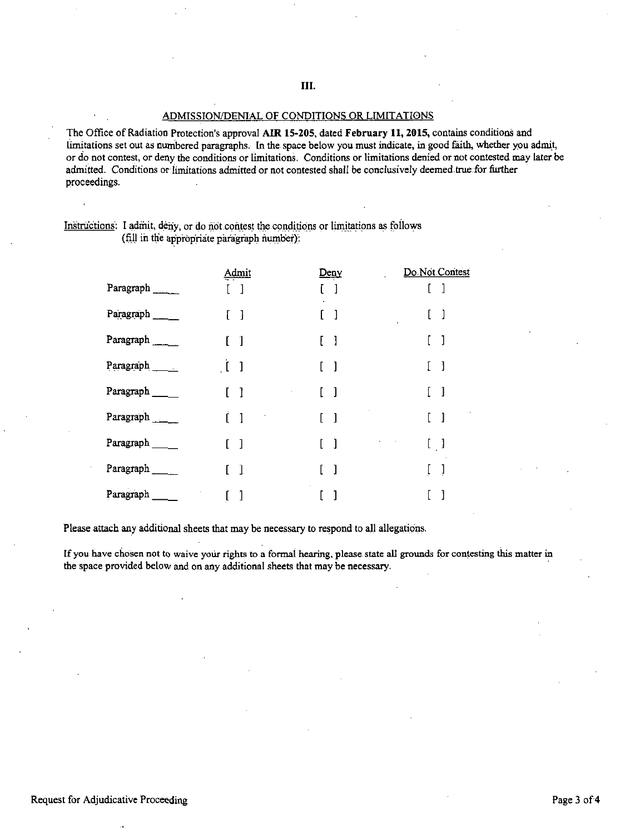### ADMISSION/DENIAL OF CONDITIONS OR LIMITATIONS

The Office of Radiation Protection's approval **Am 15-205,** dated **February 11, 2015,** contains conditions and limitations set out as numbered paragraphs. In the space below you must indicate, in good faith, whether you admit, or do not contest, or deny the conditions or limitations. Conditions or limitations denied or not contested may later be admitted. Conditions or limitations admitted or not contested shall be conclusively deemed true:for further proceedings.

# Instructions: I admit, deny, or do not contest the conditions or limitations as follows (fill in the appropriate paragraph number):

|               | <b>Admit</b>                           | Deny                              | Do Not Contest |
|---------------|----------------------------------------|-----------------------------------|----------------|
| Paragraph     |                                        | $[\quad]$                         | -1             |
| Paragraph     | $[\quad]$                              | [ ]                               | -1             |
| Paragraph     | $\begin{bmatrix} 1 \end{bmatrix}$      | [ ]                               |                |
| Paragraph     | $\begin{array}{cc} \hline \end{array}$ | - 1                               | ]              |
| Paragraph ___ | - 1                                    | [ ]                               | ]              |
| Paragraph     | Ĺ1                                     | $\begin{bmatrix} 1 \end{bmatrix}$ | $\mathbf{I}$   |
| Paragraph     | $\lceil$ $\rceil$                      | - 1                               | $[\ ]$         |
| Paragraph     | $\Box$                                 | -1                                |                |
| Paragraph     |                                        |                                   |                |

Please attach any additional sheets that may be necessary to respond to all allegations.

If you have chosen not to waive your rights to a formal hearing, please state all grounds for contesting this matter in the space provided below and on any additional sheets that may be necessary.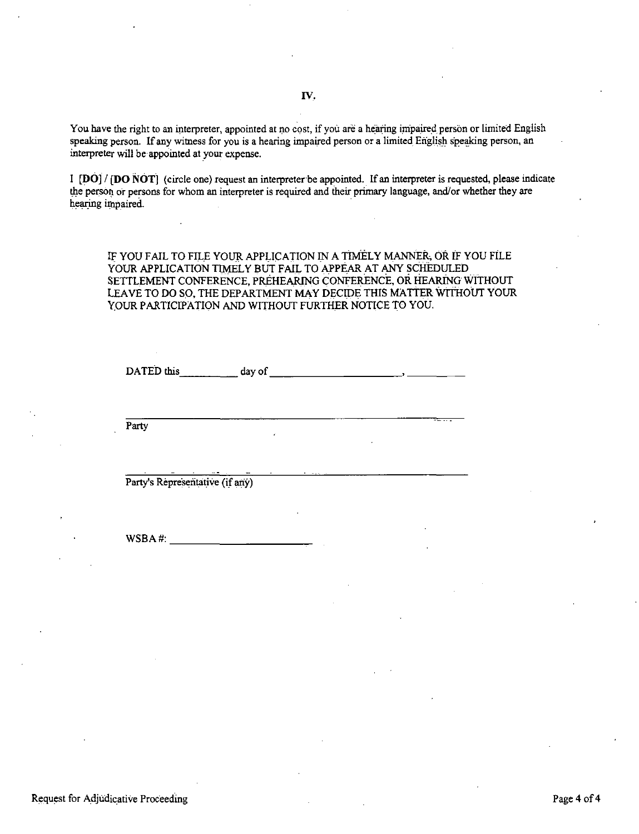You have the right to an interpreter, appointed at no cost, if you are a hearing impaired person or limited English speaking person. If any witness for you is a hearing impaired person or a limited English speaking person, an interpreter will be appointed at \_your expense.

I **[DO]/ [DO NOT]** (circle one) request an interpreter be appointed. If an interpreter is requested, please indicate the person or persons for whom an interpreter is required and their primary language, and/or whether they are hearing impaired.

IF YOU FAIL TO FILE YOUR APPLICATION IN A TIMELY MANNER; OR IF YOU FILE YOUR APPLICATION TIMELY BUT FAIL TO APPEAR AT ANY SCHEDULED SETTLEMENT CONFERENCE, PREHEARING CONFERENCE, OR HEARING WITHOUT LEAVE TO DO SO, THE DEPARTMENT MAY DECIDE THIS MATTER WITHOUT YOUR YOUR PARTICIPATION AND WITHOUT FURTHER NOTICE TO YOU.

DATED this day of the state of the state of the state of the state of the state of the state of the state of the state of the state of the state of the state of the state of the state of the state of the state of the state

Party

Party's Representative (if any)

 $WSBA #:$